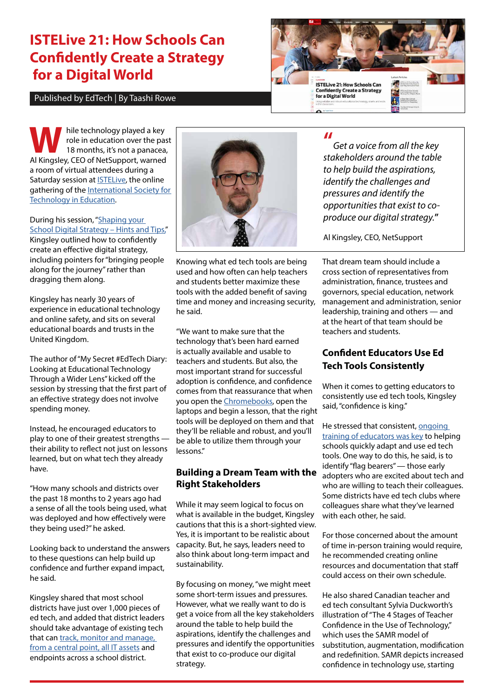# **ISTELive 21: How Schools Can Confidently Create a Strategy for a Digital World**

#### Published by EdTech | By Taashi Rowe



hile technology played a key<br>role in education over the party<br>18 months, it's not a panacea<br>Al Kingsley CEO of NetSupport warned role in education over the past 18 months, it's not a panacea, Al Kingsley, CEO of NetSupport, warned a room of virtual attendees during a Saturday session at [ISTELive](https://edtechmagazine.com/k12/events/iste), the online gathering of the International Society for [Technology in Education.](https://conference.iste.org/2021/)

During his session, ["Shaping your](https://conference.iste.org/2021/program/search/detail_session.php?id=114862367)  [School Digital Strategy – Hints and Tips,](https://conference.iste.org/2021/program/search/detail_session.php?id=114862367)" Kingsley outlined how to confidently create an effective digital strategy, including pointers for "bringing people along for the journey" rather than dragging them along.

Kingsley has nearly 30 years of experience in educational technology and online safety, and sits on several educational boards and trusts in the United Kingdom.

The author of "My Secret #EdTech Diary: Looking at Educational Technology Through a Wider Lens" kicked off the session by stressing that the first part of an effective strategy does not involve spending money.

Instead, he encouraged educators to play to one of their greatest strengths their ability to reflect not just on lessons learned, but on what tech they already have.

"How many schools and districts over the past 18 months to 2 years ago had a sense of all the tools being used, what was deployed and how effectively were they being used?" he asked.

Looking back to understand the answers to these questions can help build up confidence and further expand impact, he said.

Kingsley shared that most school districts have just over 1,000 pieces of ed tech, and added that district leaders should take advantage of existing tech that can track, monitor and manage, [from a central point, all IT assets](https://edtechmagazine.com/k12/article/2021/05/3-technology-solutions-provide-support-post-covid-19-classroom-perfcon) and endpoints across a school district.



Knowing what ed tech tools are being used and how often can help teachers and students better maximize these tools with the added benefit of saving time and money and increasing security, he said.

"We want to make sure that the technology that's been hard earned is actually available and usable to teachers and students. But also, the most important strand for successful adoption is confidence, and confidence comes from that reassurance that when you open the [Chromebooks](https://www.cdwg.com/content/cdwg/en/brand/google/chromebooks-for-education.html), open the laptops and begin a lesson, that the right tools will be deployed on them and that they'll be reliable and robust, and you'll be able to utilize them through your lessons."

### **Building a Dream Team with the Right Stakeholders**

While it may seem logical to focus on what is available in the budget, Kingsley cautions that this is a short-sighted view. Yes, it is important to be realistic about capacity. But, he says, leaders need to also think about long-term impact and sustainability.

By focusing on money, "we might meet some short-term issues and pressures. However, what we really want to do is get a voice from all the key stakeholders around the table to help build the aspirations, identify the challenges and pressures and identify the opportunities that exist to co-produce our digital strategy.

**"**

*Get a voice from all the key stakeholders around the table to help build the aspirations, identify the challenges and pressures and identify the opportunities that exist to coproduce our digital strategy.***"**

Al Kingsley, CEO, NetSupport

That dream team should include a cross section of representatives from administration, finance, trustees and governors, special education, network management and administration, senior leadership, training and others — and at the heart of that team should be teachers and students.

## **Confident Educators Use Ed Tech Tools Consistently**

When it comes to getting educators to consistently use ed tech tools, Kingsley said, "confidence is king."

He stressed that consistent, [ongoing](https://edtechmagazine.com/k12/article/2021/05/case-increasing-investments-technology-professional-development)  [training of educators was key](https://edtechmagazine.com/k12/article/2021/05/case-increasing-investments-technology-professional-development) to helping schools quickly adapt and use ed tech tools. One way to do this, he said, is to identify "flag bearers" - those early adopters who are excited about tech and who are willing to teach their colleagues. Some districts have ed tech clubs where colleagues share what they've learned with each other, he said.

For those concerned about the amount of time in-person training would require, he recommended creating online resources and documentation that staff could access on their own schedule.

He also shared Canadian teacher and ed tech consultant Sylvia Duckworth's illustration of "The 4 Stages of Teacher Confidence in the Use of Technology," which uses the SAMR model of substitution, augmentation, modification and redefinition. SAMR depicts increased confidence in technology use, starting